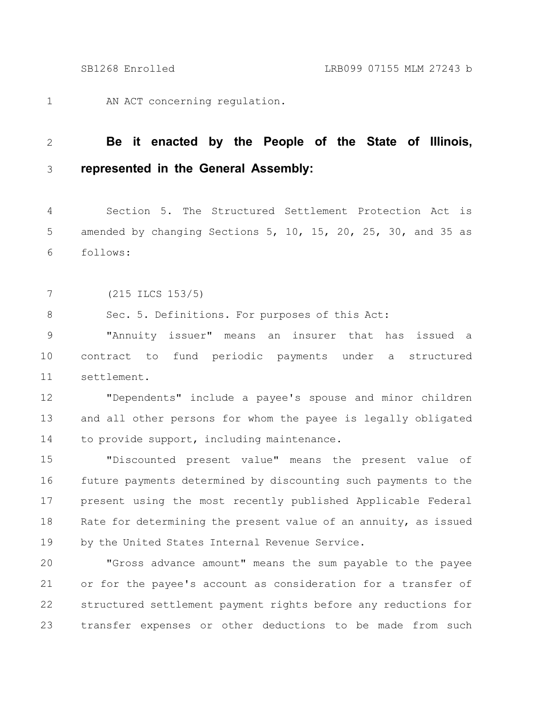AN ACT concerning regulation. 1

## **Be it enacted by the People of the State of Illinois, represented in the General Assembly:** 2 3

Section 5. The Structured Settlement Protection Act is amended by changing Sections 5, 10, 15, 20, 25, 30, and 35 as follows: 4 5 6

(215 ILCS 153/5) 7

Sec. 5. Definitions. For purposes of this Act: 8

"Annuity issuer" means an insurer that has issued a contract to fund periodic payments under a structured settlement. 9 10 11

"Dependents" include a payee's spouse and minor children and all other persons for whom the payee is legally obligated to provide support, including maintenance. 12 13 14

"Discounted present value" means the present value of future payments determined by discounting such payments to the present using the most recently published Applicable Federal Rate for determining the present value of an annuity, as issued by the United States Internal Revenue Service. 15 16 17 18 19

"Gross advance amount" means the sum payable to the payee or for the payee's account as consideration for a transfer of structured settlement payment rights before any reductions for transfer expenses or other deductions to be made from such 20 21 22 23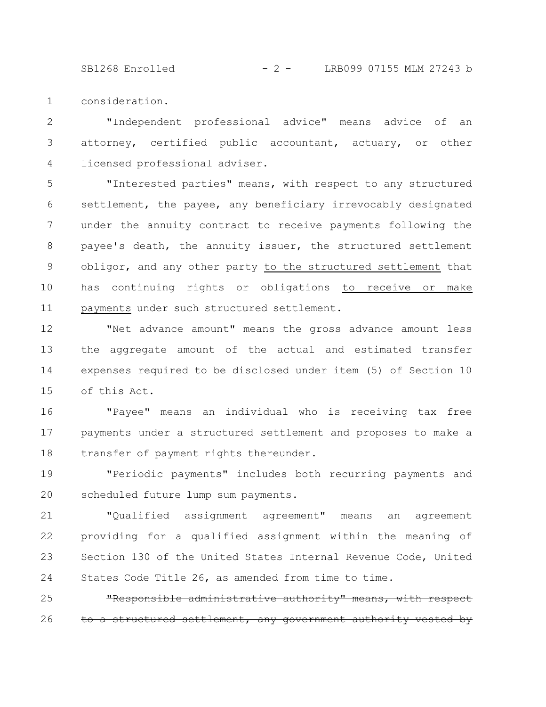SB1268 Enrolled - 2 - LRB099 07155 MLM 27243 b

consideration. 1

"Independent professional advice" means advice of an attorney, certified public accountant, actuary, or other licensed professional adviser. 2 3 4

"Interested parties" means, with respect to any structured settlement, the payee, any beneficiary irrevocably designated under the annuity contract to receive payments following the payee's death, the annuity issuer, the structured settlement obligor, and any other party to the structured settlement that has continuing rights or obligations to receive or make payments under such structured settlement. 5 6 7 8 9 10 11

"Net advance amount" means the gross advance amount less the aggregate amount of the actual and estimated transfer expenses required to be disclosed under item (5) of Section 10 of this Act. 12 13 14 15

"Payee" means an individual who is receiving tax free payments under a structured settlement and proposes to make a transfer of payment rights thereunder. 16 17 18

"Periodic payments" includes both recurring payments and scheduled future lump sum payments. 19 20

"Qualified assignment agreement" means an agreement providing for a qualified assignment within the meaning of Section 130 of the United States Internal Revenue Code, United States Code Title 26, as amended from time to time. 21 22 23 24

"Responsible administrative authority" means, with respect a structured settlement, any government authority 25 26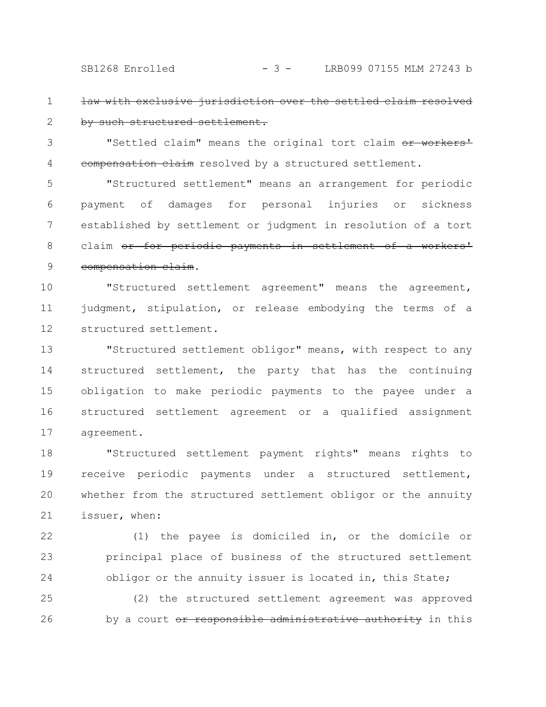SB1268 Enrolled - 3 - LRB099 07155 MLM 27243 b

law with exclusive jurisdiction over the settled claim by such structured settlement. 1 2

"Settled claim" means the original tort claim or workers' eompensation claim resolved by a structured settlement. 3 4

"Structured settlement" means an arrangement for periodic payment of damages for personal injuries or sickness established by settlement or judgment in resolution of a tort claim or for periodic payments in settlement compensation claim. 5 6 7 8 9

"Structured settlement agreement" means the agreement, judgment, stipulation, or release embodying the terms of a structured settlement. 10 11 12

"Structured settlement obligor" means, with respect to any structured settlement, the party that has the continuing obligation to make periodic payments to the payee under a structured settlement agreement or a qualified assignment agreement. 13 14 15 16 17

"Structured settlement payment rights" means rights to receive periodic payments under a structured settlement, whether from the structured settlement obligor or the annuity issuer, when: 18 19 20 21

(1) the payee is domiciled in, or the domicile or principal place of business of the structured settlement obligor or the annuity issuer is located in, this State; 22 23 24

(2) the structured settlement agreement was approved by a court or responsible administrative authority in this 25 26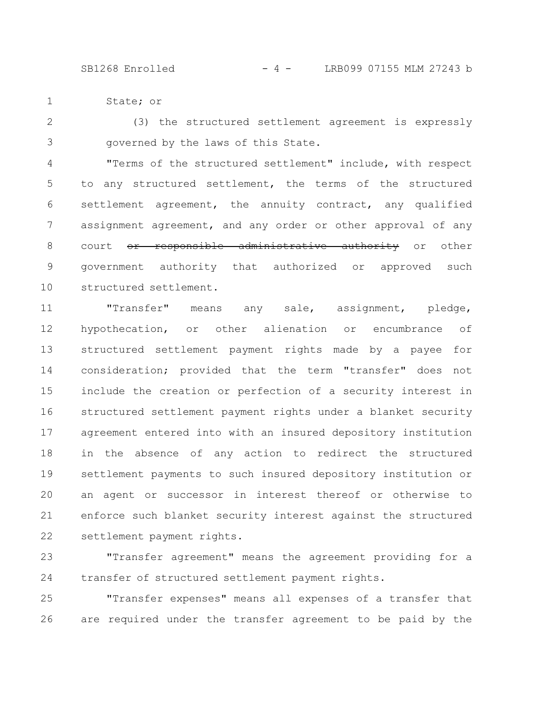State; or 1

(3) the structured settlement agreement is expressly governed by the laws of this State. 2 3

"Terms of the structured settlement" include, with respect to any structured settlement, the terms of the structured settlement agreement, the annuity contract, any qualified assignment agreement, and any order or other approval of any court <del>or responsible administrative authority</del> or other government authority that authorized or approved such structured settlement. 4 5 6 7 8 9 10

"Transfer" means any sale, assignment, pledge, hypothecation, or other alienation or encumbrance of structured settlement payment rights made by a payee for consideration; provided that the term "transfer" does not include the creation or perfection of a security interest in structured settlement payment rights under a blanket security agreement entered into with an insured depository institution in the absence of any action to redirect the structured settlement payments to such insured depository institution or an agent or successor in interest thereof or otherwise to enforce such blanket security interest against the structured settlement payment rights. 11 12 13 14 15 16 17 18 19 20 21 22

"Transfer agreement" means the agreement providing for a transfer of structured settlement payment rights. 23 24

"Transfer expenses" means all expenses of a transfer that are required under the transfer agreement to be paid by the 25 26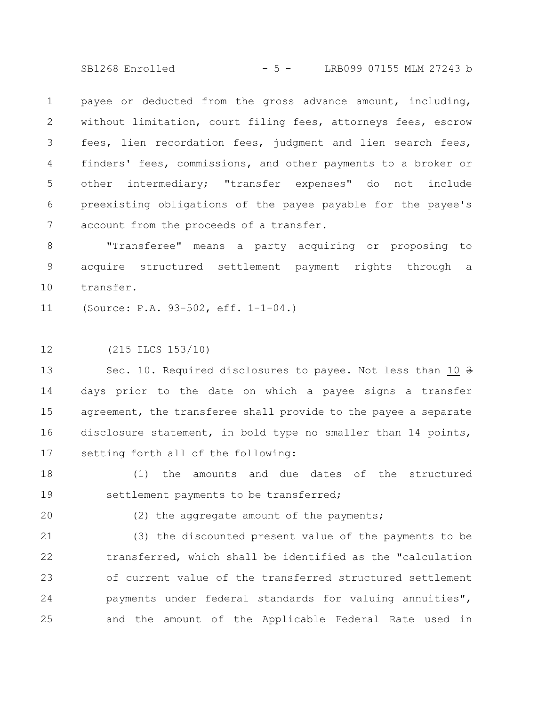SB1268 Enrolled - 5 - LRB099 07155 MLM 27243 b

payee or deducted from the gross advance amount, including, without limitation, court filing fees, attorneys fees, escrow fees, lien recordation fees, judgment and lien search fees, finders' fees, commissions, and other payments to a broker or other intermediary; "transfer expenses" do not include preexisting obligations of the payee payable for the payee's account from the proceeds of a transfer. 1 2 3 4 5 6 7

"Transferee" means a party acquiring or proposing to acquire structured settlement payment rights through a transfer. 8 9 10

(Source: P.A. 93-502, eff. 1-1-04.) 11

(215 ILCS 153/10) 12

Sec. 10. Required disclosures to payee. Not less than 10 3 days prior to the date on which a payee signs a transfer agreement, the transferee shall provide to the payee a separate disclosure statement, in bold type no smaller than 14 points, setting forth all of the following: 13 14 15 16 17

(1) the amounts and due dates of the structured settlement payments to be transferred; 18 19

20

(2) the aggregate amount of the payments;

(3) the discounted present value of the payments to be transferred, which shall be identified as the "calculation of current value of the transferred structured settlement payments under federal standards for valuing annuities", and the amount of the Applicable Federal Rate used in 21 22 23 24 25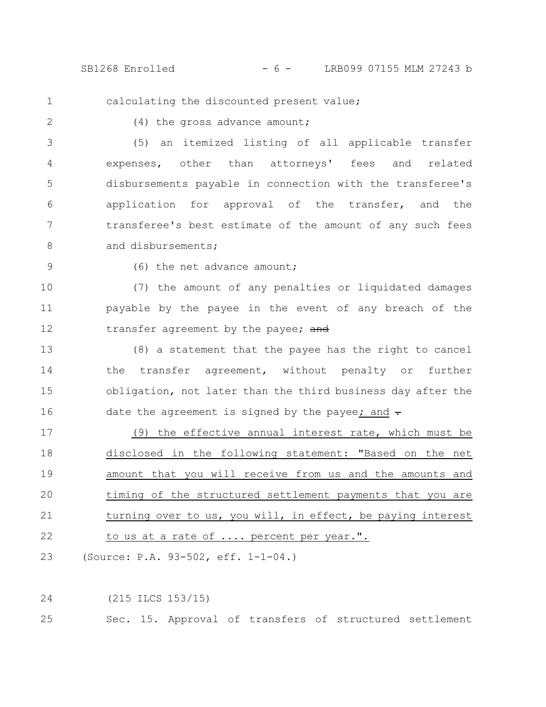SB1268 Enrolled - 6 - LRB099 07155 MLM 27243 b

1

calculating the discounted present value;

2

(4) the gross advance amount;

(5) an itemized listing of all applicable transfer expenses, other than attorneys' fees and related disbursements payable in connection with the transferee's application for approval of the transfer, and the transferee's best estimate of the amount of any such fees and disbursements; 3 4 5 6 7 8

9

(6) the net advance amount;

(7) the amount of any penalties or liquidated damages payable by the payee in the event of any breach of the transfer agreement by the payee; and 10 11 12

(8) a statement that the payee has the right to cancel the transfer agreement, without penalty or further obligation, not later than the third business day after the date the agreement is signed by the payee; and  $\div$ 13 14 15 16

(9) the effective annual interest rate, which must be disclosed in the following statement: "Based on the net amount that you will receive from us and the amounts and timing of the structured settlement payments that you are turning over to us, you will, in effect, be paying interest to us at a rate of .... percent per year.". 17 18 19 20 21 22

(Source: P.A. 93-502, eff. 1-1-04.) 23

(215 ILCS 153/15) 24

Sec. 15. Approval of transfers of structured settlement 25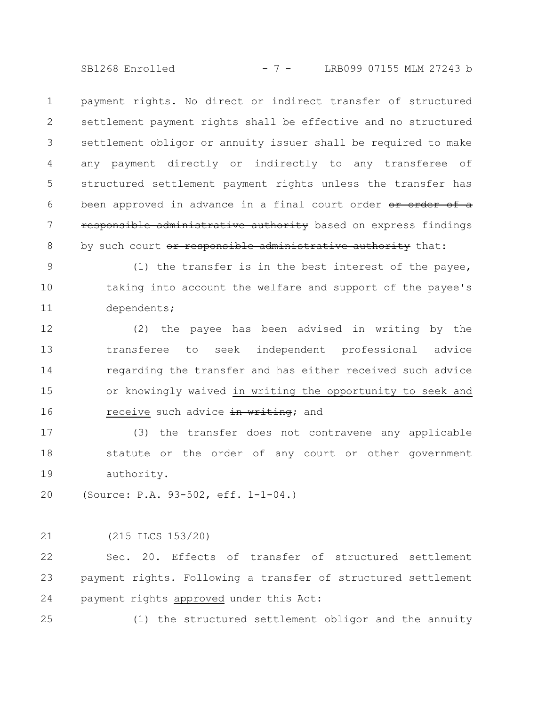SB1268 Enrolled - 7 - LRB099 07155 MLM 27243 b

payment rights. No direct or indirect transfer of structured settlement payment rights shall be effective and no structured settlement obligor or annuity issuer shall be required to make any payment directly or indirectly to any transferee of structured settlement payment rights unless the transfer has been approved in advance in a final court order or order of a responsible administrative authority based on express findings by such court or responsible administrative authority that: 1 2 3 4 5 6 7 8

(1) the transfer is in the best interest of the payee, taking into account the welfare and support of the payee's dependents; 9 10 11

(2) the payee has been advised in writing by the transferee to seek independent professional advice regarding the transfer and has either received such advice or knowingly waived in writing the opportunity to seek and receive such advice in writing; and 12 13 14 15 16

(3) the transfer does not contravene any applicable statute or the order of any court or other government authority. 17 18 19

(Source: P.A. 93-502, eff. 1-1-04.) 20

(215 ILCS 153/20) 21

Sec. 20. Effects of transfer of structured settlement payment rights. Following a transfer of structured settlement payment rights approved under this Act: 22 23 24

25

(1) the structured settlement obligor and the annuity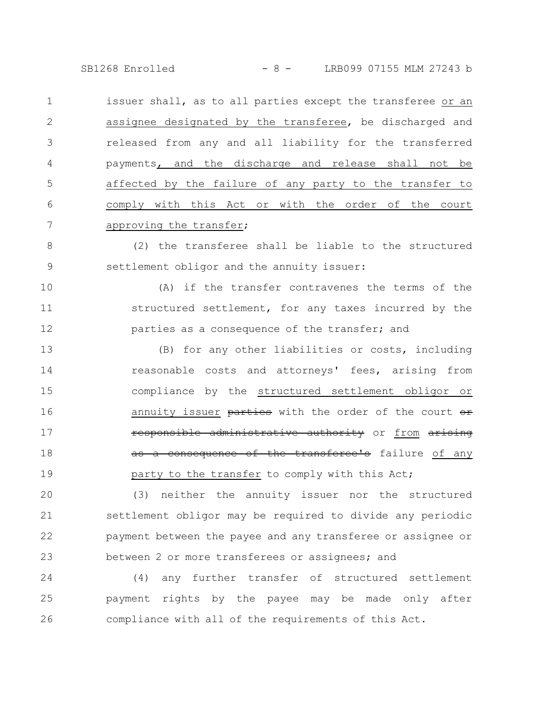SB1268 Enrolled - 8 - LRB099 07155 MLM 27243 b

issuer shall, as to all parties except the transferee or an assignee designated by the transferee, be discharged and released from any and all liability for the transferred payments, and the discharge and release shall not be affected by the failure of any party to the transfer to comply with this Act or with the order of the court approving the transfer; 1 2 3 4 5 6 7

(2) the transferee shall be liable to the structured settlement obligor and the annuity issuer: 8 9

(A) if the transfer contravenes the terms of the structured settlement, for any taxes incurred by the parties as a consequence of the transfer; and 10 11 12

(B) for any other liabilities or costs, including reasonable costs and attorneys' fees, arising from compliance by the structured settlement obligor or annuity issuer parties with the order of the court or responsible administrative authority or from arising as a consequence of the transferee's failure of any party to the transfer to comply with this Act; 13 14 15 16 17 18 19

(3) neither the annuity issuer nor the structured settlement obligor may be required to divide any periodic payment between the payee and any transferee or assignee or between 2 or more transferees or assignees; and 20 21 22 23

(4) any further transfer of structured settlement payment rights by the payee may be made only after compliance with all of the requirements of this Act. 24 25 26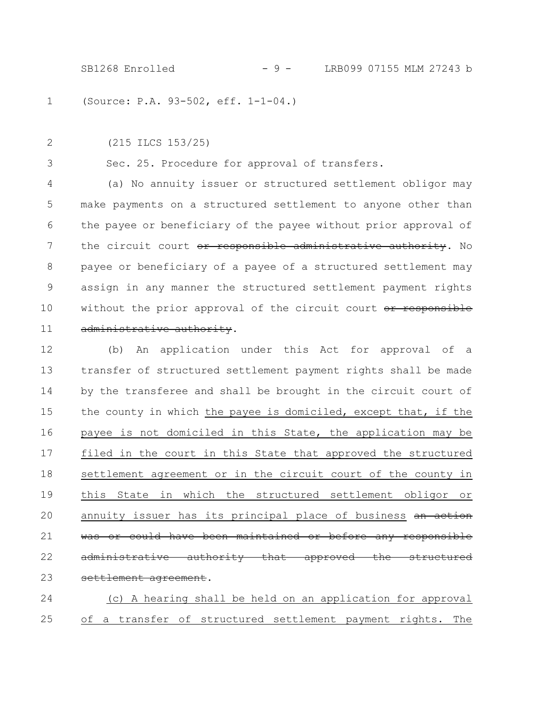SB1268 Enrolled - 9 - LRB099 07155 MLM 27243 b

(Source: P.A. 93-502, eff. 1-1-04.) 1

(215 ILCS 153/25) 2

3

Sec. 25. Procedure for approval of transfers.

(a) No annuity issuer or structured settlement obligor may make payments on a structured settlement to anyone other than the payee or beneficiary of the payee without prior approval of the circuit court or responsible administrative authority. No payee or beneficiary of a payee of a structured settlement may assign in any manner the structured settlement payment rights without the prior approval of the circuit court or responsible administrative authority. 4 5 6 7 8 9 10 11

(b) An application under this Act for approval of a transfer of structured settlement payment rights shall be made by the transferee and shall be brought in the circuit court of the county in which the payee is domiciled, except that, if the payee is not domiciled in this State, the application may be filed in the court in this State that approved the structured settlement agreement or in the circuit court of the county in this State in which the structured settlement obligor or annuity issuer has its principal place of business an action was or could have been maintained or before any responsible administrative authority that approved settlement agreement. 12 13 14 15 16 17 18 19 20 21 22 23

(c) A hearing shall be held on an application for approval of a transfer of structured settlement payment rights. The 24 25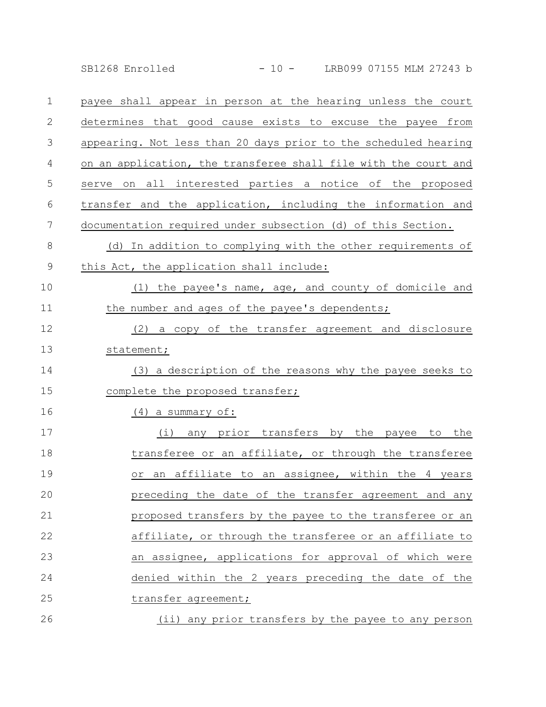SB1268 Enrolled - 10 - LRB099 07155 MLM 27243 b

| $\mathbf 1$   | payee shall appear in person at the hearing unless the court    |
|---------------|-----------------------------------------------------------------|
| $\mathbf{2}$  | determines that good cause exists to excuse the payee from      |
| 3             | appearing. Not less than 20 days prior to the scheduled hearing |
| 4             | on an application, the transferee shall file with the court and |
| 5             | serve on all interested parties a notice of the proposed        |
| 6             | transfer and the application, including the information and     |
| 7             | documentation required under subsection (d) of this Section.    |
| 8             | (d) In addition to complying with the other requirements of     |
| $\mathcal{G}$ | this Act, the application shall include:                        |
| 10            | (1) the payee's name, age, and county of domicile and           |
| 11            | the number and ages of the payee's dependents;                  |
| 12            | (2) a copy of the transfer agreement and disclosure             |
| 13            | statement;                                                      |
| 14            | (3) a description of the reasons why the payee seeks to         |
| 15            | complete the proposed transfer;                                 |
| 16            | (4) a summary of:                                               |
| 17            | any prior transfers by the payee to the<br>(i)                  |
| 18            | transferee or an affiliate, or through the transferee           |
| 19            | an affiliate to an assignee, within the 4 years<br>Оr           |
| 20            | preceding the date of the transfer agreement and any            |
| 21            | proposed transfers by the payee to the transferee or an         |
| 22            | affiliate, or through the transferee or an affiliate to         |
| 23            | an assignee, applications for approval of which were            |
| 24            | denied within the 2 years preceding the date of the             |
| 25            | transfer agreement;                                             |
| 26            | (ii) any prior transfers by the payee to any person             |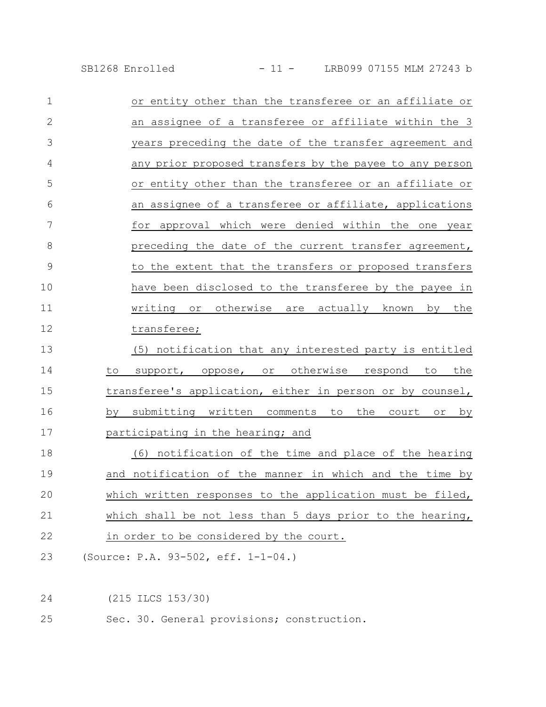SB1268 Enrolled - 11 - LRB099 07155 MLM 27243 b

| $\mathbf 1$   | or entity other than the transferee or an affiliate or    |
|---------------|-----------------------------------------------------------|
| $\mathbf{2}$  | an assignee of a transferee or affiliate within the 3     |
| 3             | years preceding the date of the transfer agreement and    |
| 4             | any prior proposed transfers by the payee to any person   |
| 5             | or entity other than the transferee or an affiliate or    |
| 6             | an assignee of a transferee or affiliate, applications    |
| 7             | for approval which were denied within the one year        |
| 8             | preceding the date of the current transfer agreement,     |
| $\mathcal{G}$ | to the extent that the transfers or proposed transfers    |
| 10            | have been disclosed to the transferee by the payee in     |
| 11            | writing or otherwise are actually known by the            |
| 12            | transferee;                                               |
| 13            | (5) notification that any interested party is entitled    |
| 14            | support, oppose, or otherwise respond to<br>the<br>to     |
| 15            | transferee's application, either in person or by counsel, |
| 16            | by submitting written comments to the court or by         |
| 17            | participating in the hearing; and                         |
| 18            | (6) notification of the time and place of the hearing     |
| 19            | and notification of the manner in which and the time by   |
| 20            | which written responses to the application must be filed, |
| 21            | which shall be not less than 5 days prior to the hearing, |
| 22            | in order to be considered by the court.                   |
| 23            | (Source: P.A. 93-502, eff. 1-1-04.)                       |
|               |                                                           |
| 24            | (215 ILCS 153/30)                                         |

Sec. 30. General provisions; construction. 25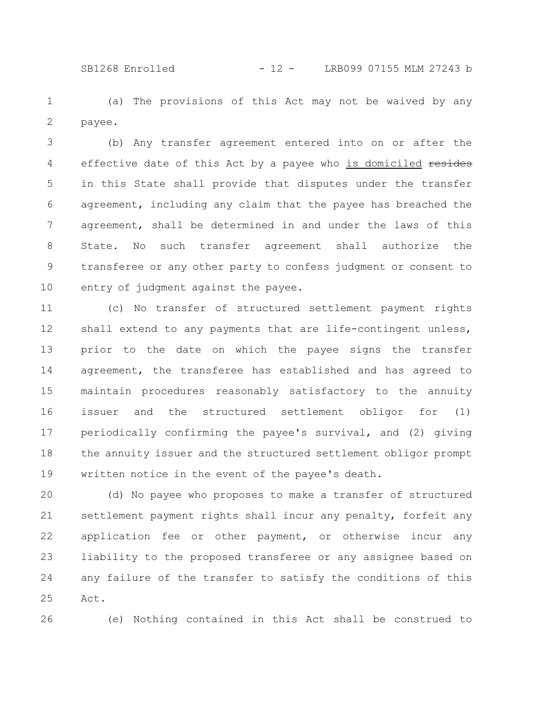(a) The provisions of this Act may not be waived by any payee. 1 2

(b) Any transfer agreement entered into on or after the effective date of this Act by a payee who is domiciled resides in this State shall provide that disputes under the transfer agreement, including any claim that the payee has breached the agreement, shall be determined in and under the laws of this State. No such transfer agreement shall authorize the transferee or any other party to confess judgment or consent to entry of judgment against the payee. 3 4 5 6 7 8 9 10

(c) No transfer of structured settlement payment rights shall extend to any payments that are life-contingent unless, prior to the date on which the payee signs the transfer agreement, the transferee has established and has agreed to maintain procedures reasonably satisfactory to the annuity issuer and the structured settlement obligor for (1) periodically confirming the payee's survival, and (2) giving the annuity issuer and the structured settlement obligor prompt written notice in the event of the payee's death. 11 12 13 14 15 16 17 18 19

(d) No payee who proposes to make a transfer of structured settlement payment rights shall incur any penalty, forfeit any application fee or other payment, or otherwise incur any liability to the proposed transferee or any assignee based on any failure of the transfer to satisfy the conditions of this Act. 20 21 22 23 24 25

26

(e) Nothing contained in this Act shall be construed to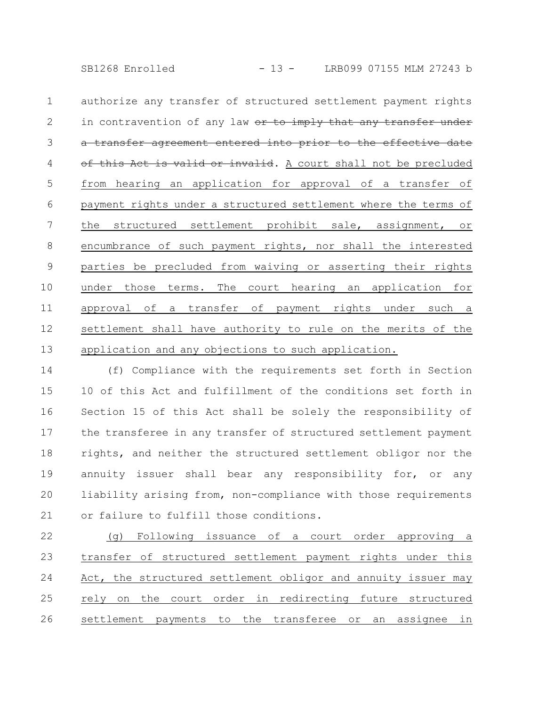SB1268 Enrolled - 13 - LRB099 07155 MLM 27243 b

authorize any transfer of structured settlement payment rights in contravention of any law or to imply that any transfer under transfer agreement entered into prior to the effective date this Act is valid or invalid. A court shall not be precluded from hearing an application for approval of a transfer of payment rights under a structured settlement where the terms of the structured settlement prohibit sale, assignment, or encumbrance of such payment rights, nor shall the interested parties be precluded from waiving or asserting their rights under those terms. The court hearing an application for approval of a transfer of payment rights under such a settlement shall have authority to rule on the merits of the application and any objections to such application. 1 2 3 4 5 6 7 8 9 10 11 12 13

(f) Compliance with the requirements set forth in Section 10 of this Act and fulfillment of the conditions set forth in Section 15 of this Act shall be solely the responsibility of the transferee in any transfer of structured settlement payment rights, and neither the structured settlement obligor nor the annuity issuer shall bear any responsibility for, or any liability arising from, non-compliance with those requirements or failure to fulfill those conditions. 14 15 16 17 18 19 20 21

(g) Following issuance of a court order approving a transfer of structured settlement payment rights under this Act, the structured settlement obligor and annuity issuer may rely on the court order in redirecting future structured settlement payments to the transferee or an assignee in 22 23 24 25 26